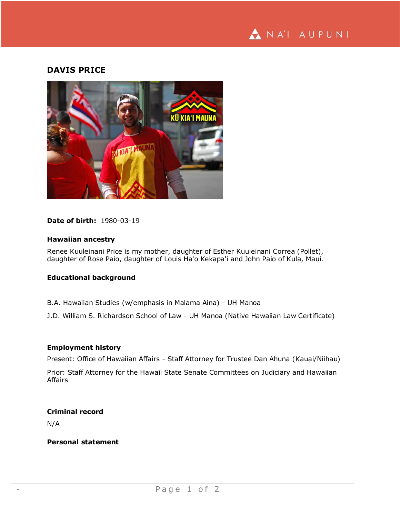

# **DAVIS PRICE**



## **Date of birth:** 1980-03-19

# **Hawaiian ancestry**

Renee Kuuleinani Price is my mother, daughter of Esther Kuuleinani Correa (Pollet), daughter of Rose Paio, daughter of Louis Ha'o Kekapa'i and John Paio of Kula, Maui.

### **Educational background**

B.A. Hawaiian Studies (w/emphasis in Malama Aina) - UH Manoa

J.D. William S. Richardson School of Law - UH Manoa (Native Hawaiian Law Certificate)

#### **Employment history**

Present: Office of Hawaiian Affairs - Staff Attorney for Trustee Dan Ahuna (Kauai/Niihau)

Prior: Staff Attorney for the Hawaii State Senate Committees on Judiciary and Hawaiian Affairs

#### **Criminal record**

N/A

# **Personal statement**